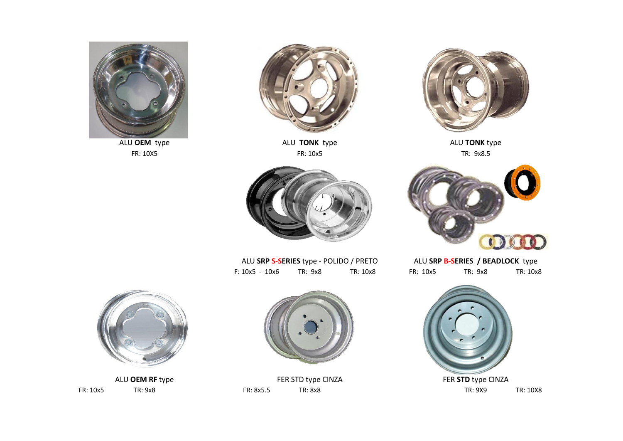



FR: 10X5 FR: 10x5 TR: 9x8.5 ALU **OEM** type ALU **TONK** type ALU **TONK** type





F: 10x5 - 10x6 TR: 9x8 TR: 10x8 FR: 10x5 TR: 9x8 TR: 10x8 ALU **SRP S-SERIES** type - POLIDO / PRETO



|          | ALU SRP B-SERIES / BEADLOCK type |          |
|----------|----------------------------------|----------|
| FR: 10x5 | TR: 9x8                          | TR: 10x8 |